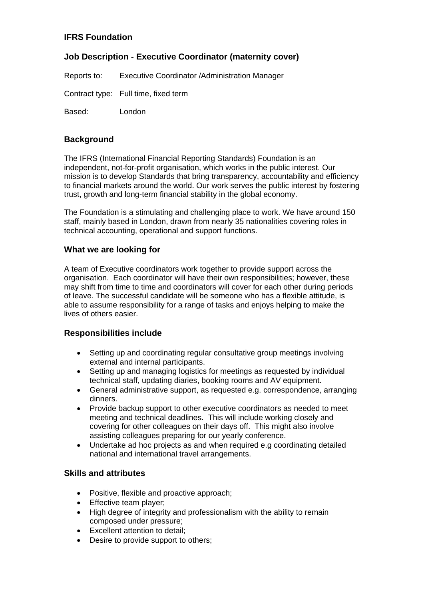## **IFRS Foundation**

# **Job Description - Executive Coordinator (maternity cover)**

Reports to: Executive Coordinator /Administration Manager

Contract type: Full time, fixed term

Based: London

### **Background**

The IFRS (International Financial Reporting Standards) Foundation is an independent, not-for-profit organisation, which works in the public interest. Our mission is to develop Standards that bring transparency, accountability and efficiency to financial markets around the world. Our work serves the public interest by fostering trust, growth and long-term financial stability in the global economy.

The Foundation is a stimulating and challenging place to work. We have around 150 staff, mainly based in London, drawn from nearly 35 nationalities covering roles in technical accounting, operational and support functions.

#### **What we are looking for**

A team of Executive coordinators work together to provide support across the organisation. Each coordinator will have their own responsibilities; however, these may shift from time to time and coordinators will cover for each other during periods of leave. The successful candidate will be someone who has a flexible attitude, is able to assume responsibility for a range of tasks and enjoys helping to make the lives of others easier.

#### **Responsibilities include**

- Setting up and coordinating regular consultative group meetings involving external and internal participants.
- Setting up and managing logistics for meetings as requested by individual technical staff, updating diaries, booking rooms and AV equipment.
- General administrative support, as requested e.g. correspondence, arranging dinners.
- Provide backup support to other executive coordinators as needed to meet meeting and technical deadlines. This will include working closely and covering for other colleagues on their days off. This might also involve assisting colleagues preparing for our yearly conference.
- Undertake ad hoc projects as and when required e.g coordinating detailed national and international travel arrangements.

#### **Skills and attributes**

- Positive, flexible and proactive approach;
- Effective team player:
- High degree of integrity and professionalism with the ability to remain composed under pressure;
- Excellent attention to detail;
- Desire to provide support to others;